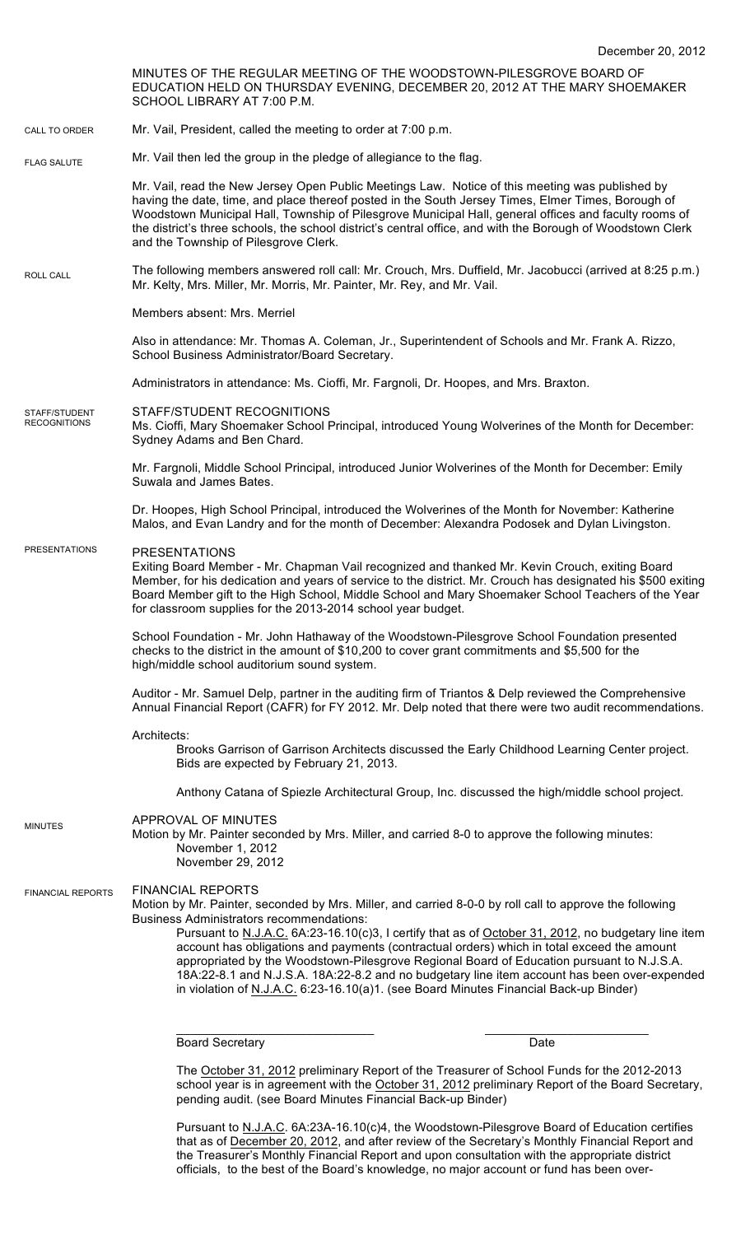MINUTES OF THE REGULAR MEETING OF THE WOODSTOWN-PILESGROVE BOARD OF EDUCATION HELD ON THURSDAY EVENING, DECEMBER 20, 2012 AT THE MARY SHOEMAKER SCHOOL LIBRARY AT 7:00 P.M. Mr. Vail, President, called the meeting to order at 7:00 p.m. Mr. Vail then led the group in the pledge of allegiance to the flag. Mr. Vail, read the New Jersey Open Public Meetings Law. Notice of this meeting was published by having the date, time, and place thereof posted in the South Jersey Times, Elmer Times, Borough of Woodstown Municipal Hall, Township of Pilesgrove Municipal Hall, general offices and faculty rooms of the district's three schools, the school district's central office, and with the Borough of Woodstown Clerk and the Township of Pilesgrove Clerk. The following members answered roll call: Mr. Crouch, Mrs. Duffield, Mr. Jacobucci (arrived at 8:25 p.m.) Mr. Kelty, Mrs. Miller, Mr. Morris, Mr. Painter, Mr. Rey, and Mr. Vail. Members absent: Mrs. Merriel Also in attendance: Mr. Thomas A. Coleman, Jr., Superintendent of Schools and Mr. Frank A. Rizzo, School Business Administrator/Board Secretary. Administrators in attendance: Ms. Cioffi, Mr. Fargnoli, Dr. Hoopes, and Mrs. Braxton. STAFF/STUDENT RECOGNITIONS Ms. Cioffi, Mary Shoemaker School Principal, introduced Young Wolverines of the Month for December: Sydney Adams and Ben Chard. Mr. Fargnoli, Middle School Principal, introduced Junior Wolverines of the Month for December: Emily Suwala and James Bates. Dr. Hoopes, High School Principal, introduced the Wolverines of the Month for November: Katherine Malos, and Evan Landry and for the month of December: Alexandra Podosek and Dylan Livingston. PRESENTATIONS Exiting Board Member - Mr. Chapman Vail recognized and thanked Mr. Kevin Crouch, exiting Board Member, for his dedication and years of service to the district. Mr. Crouch has designated his \$500 exiting Board Member gift to the High School, Middle School and Mary Shoemaker School Teachers of the Year for classroom supplies for the 2013-2014 school year budget. School Foundation - Mr. John Hathaway of the Woodstown-Pilesgrove School Foundation presented checks to the district in the amount of \$10,200 to cover grant commitments and \$5,500 for the high/middle school auditorium sound system. Auditor - Mr. Samuel Delp, partner in the auditing firm of Triantos & Delp reviewed the Comprehensive Annual Financial Report (CAFR) for FY 2012. Mr. Delp noted that there were two audit recommendations. Architects: Brooks Garrison of Garrison Architects discussed the Early Childhood Learning Center project. Bids are expected by February 21, 2013. Anthony Catana of Spiezle Architectural Group, Inc. discussed the high/middle school project. APPROVAL OF MINUTES Motion by Mr. Painter seconded by Mrs. Miller, and carried 8-0 to approve the following minutes: November 1, 2012 November 29, 2012 FINANCIAL REPORTS Motion by Mr. Painter, seconded by Mrs. Miller, and carried 8-0-0 by roll call to approve the following Business Administrators recommendations: Pursuant to N.J.A.C. 6A:23-16.10(c)3, I certify that as of October 31, 2012, no budgetary line item account has obligations and payments (contractual orders) which in total exceed the amount appropriated by the Woodstown-Pilesgrove Regional Board of Education pursuant to N.J.S.A. 18A:22-8.1 and N.J.S.A. 18A:22-8.2 and no budgetary line item account has been over-expended in violation of N.J.A.C. 6:23-16.10(a)1. (see Board Minutes Financial Back-up Binder) \_\_\_\_\_\_\_\_\_\_\_\_\_\_\_\_\_\_\_\_\_\_\_\_\_\_\_\_\_ \_\_\_\_\_\_\_\_\_\_\_\_\_\_\_\_\_\_\_\_\_\_\_\_ Board Secretary Date CALL TO ORDER ROLL CALL FLAG SALUTE MINUTES FINANCIAL REPORTS STAFF/STUDENT **RECOGNITIONS** PRESENTATIONS

> The October 31, 2012 preliminary Report of the Treasurer of School Funds for the 2012-2013 school year is in agreement with the October 31, 2012 preliminary Report of the Board Secretary, pending audit. (see Board Minutes Financial Back-up Binder)

Pursuant to N.J.A.C. 6A:23A-16.10(c)4, the Woodstown-Pilesgrove Board of Education certifies that as of December 20, 2012, and after review of the Secretary's Monthly Financial Report and the Treasurer's Monthly Financial Report and upon consultation with the appropriate district officials, to the best of the Board's knowledge, no major account or fund has been over-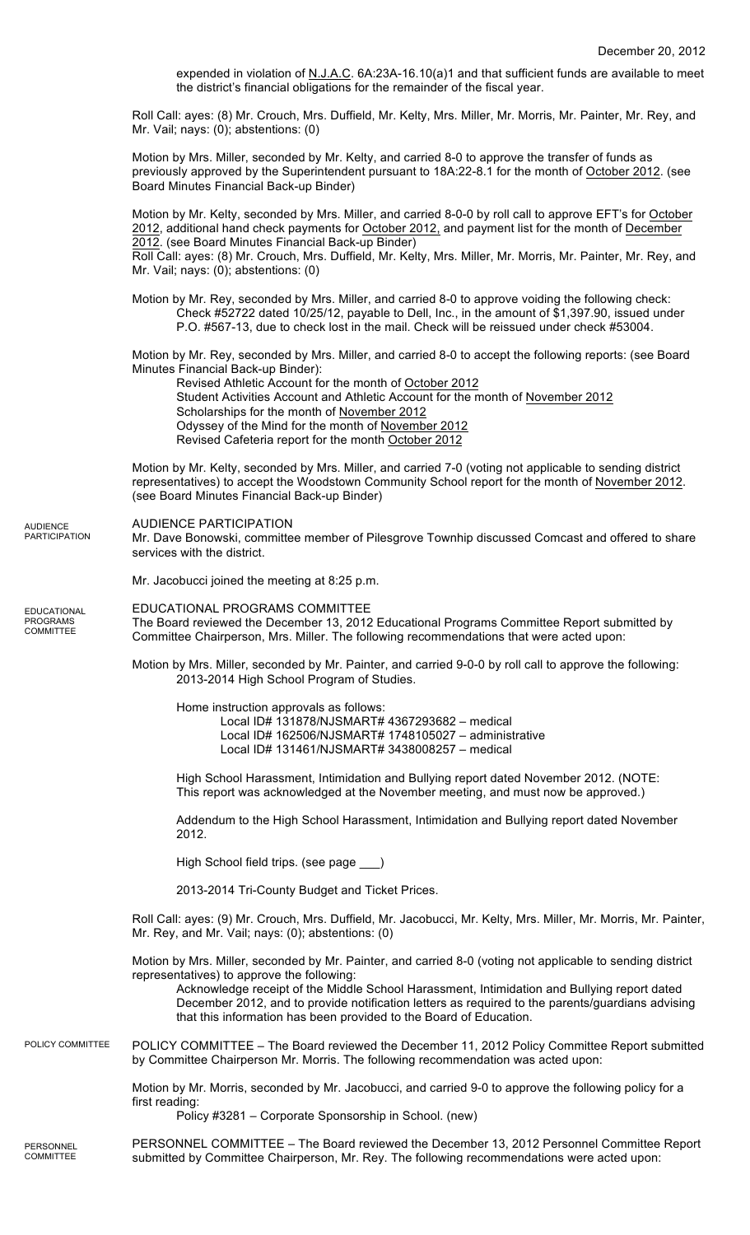expended in violation of N.J.A.C. 6A:23A-16.10(a)1 and that sufficient funds are available to meet the district's financial obligations for the remainder of the fiscal year.

Roll Call: ayes: (8) Mr. Crouch, Mrs. Duffield, Mr. Kelty, Mrs. Miller, Mr. Morris, Mr. Painter, Mr. Rey, and Mr. Vail; nays: (0); abstentions: (0)

Motion by Mrs. Miller, seconded by Mr. Kelty, and carried 8-0 to approve the transfer of funds as previously approved by the Superintendent pursuant to 18A:22-8.1 for the month of October 2012. (see Board Minutes Financial Back-up Binder)

Motion by Mr. Kelty, seconded by Mrs. Miller, and carried 8-0-0 by roll call to approve EFT's for October 2012, additional hand check payments for October 2012, and payment list for the month of December 2012. (see Board Minutes Financial Back-up Binder) Roll Call: ayes: (8) Mr. Crouch, Mrs. Duffield, Mr. Kelty, Mrs. Miller, Mr. Morris, Mr. Painter, Mr. Rey, and

Mr. Vail; nays: (0); abstentions: (0)

Motion by Mr. Rey, seconded by Mrs. Miller, and carried 8-0 to approve voiding the following check: Check #52722 dated 10/25/12, payable to Dell, Inc., in the amount of \$1,397.90, issued under P.O. #567-13, due to check lost in the mail. Check will be reissued under check #53004.

Motion by Mr. Rey, seconded by Mrs. Miller, and carried 8-0 to accept the following reports: (see Board Minutes Financial Back-up Binder):

Revised Athletic Account for the month of October 2012 Student Activities Account and Athletic Account for the month of November 2012 Scholarships for the month of November 2012 Odyssey of the Mind for the month of November 2012 Revised Cafeteria report for the month October 2012

Motion by Mr. Kelty, seconded by Mrs. Miller, and carried 7-0 (voting not applicable to sending district representatives) to accept the Woodstown Community School report for the month of November 2012. (see Board Minutes Financial Back-up Binder)

### AUDIENCE PARTICIPATION AUDIENCE PARTICIPATION

Mr. Dave Bonowski, committee member of Pilesgrove Townhip discussed Comcast and offered to share services with the district.

Mr. Jacobucci joined the meeting at 8:25 p.m.

EDUCATIONAL PROGRAMS

COMMITTEE

EDUCATIONAL PROGRAMS COMMITTEE The Board reviewed the December 13, 2012 Educational Programs Committee Report submitted by Committee Chairperson, Mrs. Miller. The following recommendations that were acted upon:

Motion by Mrs. Miller, seconded by Mr. Painter, and carried 9-0-0 by roll call to approve the following: 2013-2014 High School Program of Studies.

Home instruction approvals as follows:

Local ID# 131878/NJSMART# 4367293682 – medical Local ID# 162506/NJSMART# 1748105027 – administrative Local ID# 131461/NJSMART# 3438008257 – medical

High School Harassment, Intimidation and Bullying report dated November 2012. (NOTE: This report was acknowledged at the November meeting, and must now be approved.)

Addendum to the High School Harassment, Intimidation and Bullying report dated November 2012.

High School field trips. (see page \_\_\_)

2013-2014 Tri-County Budget and Ticket Prices.

Roll Call: ayes: (9) Mr. Crouch, Mrs. Duffield, Mr. Jacobucci, Mr. Kelty, Mrs. Miller, Mr. Morris, Mr. Painter, Mr. Rey, and Mr. Vail; nays: (0); abstentions: (0)

Motion by Mrs. Miller, seconded by Mr. Painter, and carried 8-0 (voting not applicable to sending district representatives) to approve the following:

Acknowledge receipt of the Middle School Harassment, Intimidation and Bullying report dated December 2012, and to provide notification letters as required to the parents/guardians advising that this information has been provided to the Board of Education.

### POLICY COMMITTEE – The Board reviewed the December 11, 2012 Policy Committee Report submitted by Committee Chairperson Mr. Morris. The following recommendation was acted upon: POLICY COMMITTEE

Motion by Mr. Morris, seconded by Mr. Jacobucci, and carried 9-0 to approve the following policy for a first reading:

Policy #3281 – Corporate Sponsorship in School. (new)

PERSONNEL COMMITTEE – The Board reviewed the December 13, 2012 Personnel Committee Report submitted by Committee Chairperson, Mr. Rey. The following recommendations were acted upon: PERSONNEL COMMITTEE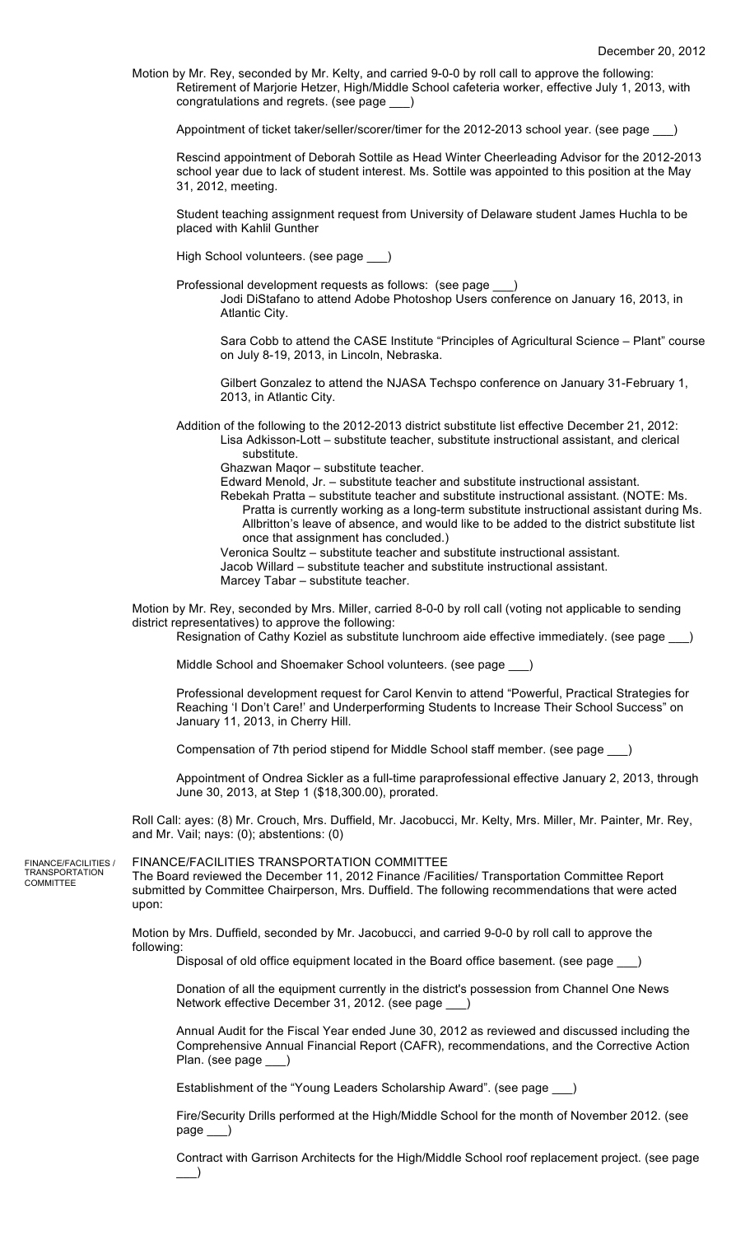Motion by Mr. Rey, seconded by Mr. Kelty, and carried 9-0-0 by roll call to approve the following: Retirement of Marjorie Hetzer, High/Middle School cafeteria worker, effective July 1, 2013, with congratulations and regrets. (see page \_\_\_)

Appointment of ticket taker/seller/scorer/timer for the 2012-2013 school year. (see page

Rescind appointment of Deborah Sottile as Head Winter Cheerleading Advisor for the 2012-2013 school year due to lack of student interest. Ms. Sottile was appointed to this position at the May 31, 2012, meeting.

Student teaching assignment request from University of Delaware student James Huchla to be placed with Kahlil Gunther

High School volunteers. (see page \_\_\_)

Professional development requests as follows: (see page Jodi DiStafano to attend Adobe Photoshop Users conference on January 16, 2013, in Atlantic City.

Sara Cobb to attend the CASE Institute "Principles of Agricultural Science – Plant" course on July 8-19, 2013, in Lincoln, Nebraska.

Gilbert Gonzalez to attend the NJASA Techspo conference on January 31-February 1, 2013, in Atlantic City.

Addition of the following to the 2012-2013 district substitute list effective December 21, 2012: Lisa Adkisson-Lott – substitute teacher, substitute instructional assistant, and clerical substitute.

Ghazwan Maqor – substitute teacher.

Edward Menold, Jr. – substitute teacher and substitute instructional assistant.

Rebekah Pratta – substitute teacher and substitute instructional assistant. (NOTE: Ms. Pratta is currently working as a long-term substitute instructional assistant during Ms. Allbritton's leave of absence, and would like to be added to the district substitute list once that assignment has concluded.)

Veronica Soultz – substitute teacher and substitute instructional assistant. Jacob Willard – substitute teacher and substitute instructional assistant. Marcey Tabar – substitute teacher.

Motion by Mr. Rey, seconded by Mrs. Miller, carried 8-0-0 by roll call (voting not applicable to sending district representatives) to approve the following:

Resignation of Cathy Koziel as substitute lunchroom aide effective immediately. (see page \_

Middle School and Shoemaker School volunteers. (see page \_\_\_)

Professional development request for Carol Kenvin to attend "Powerful, Practical Strategies for Reaching 'I Don't Care!' and Underperforming Students to Increase Their School Success" on January 11, 2013, in Cherry Hill.

Compensation of 7th period stipend for Middle School staff member. (see page \_\_\_)

Appointment of Ondrea Sickler as a full-time paraprofessional effective January 2, 2013, through June 30, 2013, at Step 1 (\$18,300.00), prorated.

Roll Call: ayes: (8) Mr. Crouch, Mrs. Duffield, Mr. Jacobucci, Mr. Kelty, Mrs. Miller, Mr. Painter, Mr. Rey, and Mr. Vail; nays: (0); abstentions: (0)

FINANCE/FACILITIES / TRANSPORTATION COMMITTEE

### FINANCE/FACILITIES TRANSPORTATION COMMITTEE

The Board reviewed the December 11, 2012 Finance /Facilities/ Transportation Committee Report submitted by Committee Chairperson, Mrs. Duffield. The following recommendations that were acted upon:

Motion by Mrs. Duffield, seconded by Mr. Jacobucci, and carried 9-0-0 by roll call to approve the following:

Disposal of old office equipment located in the Board office basement. (see page \_\_\_)

Donation of all the equipment currently in the district's possession from Channel One News Network effective December 31, 2012. (see page

Annual Audit for the Fiscal Year ended June 30, 2012 as reviewed and discussed including the Comprehensive Annual Financial Report (CAFR), recommendations, and the Corrective Action Plan. (see page \_\_\_)

Establishment of the "Young Leaders Scholarship Award". (see page \_\_\_)

Fire/Security Drills performed at the High/Middle School for the month of November 2012. (see page \_\_\_)

Contract with Garrison Architects for the High/Middle School roof replacement project. (see page  $\rightarrow$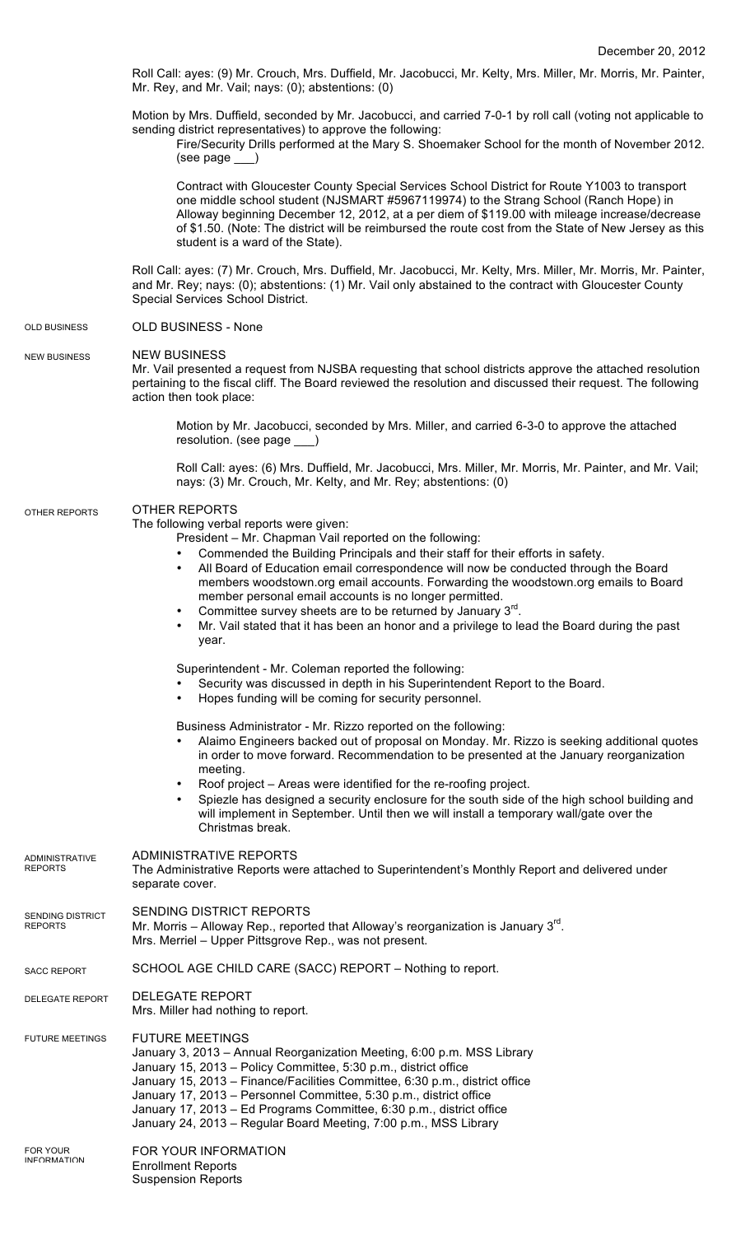Roll Call: ayes: (9) Mr. Crouch, Mrs. Duffield, Mr. Jacobucci, Mr. Kelty, Mrs. Miller, Mr. Morris, Mr. Painter, Mr. Rey, and Mr. Vail; nays: (0); abstentions: (0)

Motion by Mrs. Duffield, seconded by Mr. Jacobucci, and carried 7-0-1 by roll call (voting not applicable to sending district representatives) to approve the following:

Fire/Security Drills performed at the Mary S. Shoemaker School for the month of November 2012. (see page \_\_\_)

Contract with Gloucester County Special Services School District for Route Y1003 to transport one middle school student (NJSMART #5967119974) to the Strang School (Ranch Hope) in Alloway beginning December 12, 2012, at a per diem of \$119.00 with mileage increase/decrease of \$1.50. (Note: The district will be reimbursed the route cost from the State of New Jersey as this student is a ward of the State).

Roll Call: ayes: (7) Mr. Crouch, Mrs. Duffield, Mr. Jacobucci, Mr. Kelty, Mrs. Miller, Mr. Morris, Mr. Painter, and Mr. Rey; nays: (0); abstentions: (1) Mr. Vail only abstained to the contract with Gloucester County Special Services School District.

#### OLD BUSINESS - None OLD BUSINESS

#### NEW BUSINESS NEW BUSINESS

Mr. Vail presented a request from NJSBA requesting that school districts approve the attached resolution pertaining to the fiscal cliff. The Board reviewed the resolution and discussed their request. The following action then took place:

Motion by Mr. Jacobucci, seconded by Mrs. Miller, and carried 6-3-0 to approve the attached resolution. (see page \_\_\_)

Roll Call: ayes: (6) Mrs. Duffield, Mr. Jacobucci, Mrs. Miller, Mr. Morris, Mr. Painter, and Mr. Vail; nays: (3) Mr. Crouch, Mr. Kelty, and Mr. Rey; abstentions: (0)

#### OTHER REPORTS OTHER REPORTS

The following verbal reports were given:

ADMINISTRATIVE REPORTS

- President Mr. Chapman Vail reported on the following:
	- Commended the Building Principals and their staff for their efforts in safety.
	- All Board of Education email correspondence will now be conducted through the Board members woodstown.org email accounts. Forwarding the woodstown.org emails to Board member personal email accounts is no longer permitted.
		- Committee survey sheets are to be returned by January  $3<sup>rd</sup>$ .
- Mr. Vail stated that it has been an honor and a privilege to lead the Board during the past year.

# Superintendent - Mr. Coleman reported the following:

- Security was discussed in depth in his Superintendent Report to the Board.
- Hopes funding will be coming for security personnel.

Business Administrator - Mr. Rizzo reported on the following:

- Alaimo Engineers backed out of proposal on Monday. Mr. Rizzo is seeking additional quotes in order to move forward. Recommendation to be presented at the January reorganization meeting.
- Roof project Areas were identified for the re-roofing project.
- Spiezle has designed a security enclosure for the south side of the high school building and will implement in September. Until then we will install a temporary wall/gate over the Christmas break.

| <b>ADMINISTRATIVE</b><br><b>REPORTS</b>   | ADMINISTRATIVE REPORTS<br>The Administrative Reports were attached to Superintendent's Monthly Report and delivered under<br>separate cover.                                                                                                                                                                                                                                                                                                                         |
|-------------------------------------------|----------------------------------------------------------------------------------------------------------------------------------------------------------------------------------------------------------------------------------------------------------------------------------------------------------------------------------------------------------------------------------------------------------------------------------------------------------------------|
| <b>SENDING DISTRICT</b><br><b>REPORTS</b> | SENDING DISTRICT REPORTS<br>Mr. Morris – Alloway Rep., reported that Alloway's reorganization is January $3rd$ .<br>Mrs. Merriel – Upper Pittsgrove Rep., was not present.                                                                                                                                                                                                                                                                                           |
| <b>SACC REPORT</b>                        | SCHOOL AGE CHILD CARE (SACC) REPORT – Nothing to report.                                                                                                                                                                                                                                                                                                                                                                                                             |
| <b>DELEGATE REPORT</b>                    | <b>DELEGATE REPORT</b><br>Mrs. Miller had nothing to report.                                                                                                                                                                                                                                                                                                                                                                                                         |
| <b>FUTURE MEETINGS</b>                    | <b>FUTURE MEETINGS</b><br>January 3, 2013 - Annual Reorganization Meeting, 6:00 p.m. MSS Library<br>January 15, 2013 – Policy Committee, 5:30 p.m., district office<br>January 15, 2013 – Finance/Facilities Committee, 6:30 p.m., district office<br>January 17, 2013 – Personnel Committee, 5:30 p.m., district office<br>January 17, 2013 – Ed Programs Committee, 6:30 p.m., district office<br>January 24, 2013 – Regular Board Meeting, 7:00 p.m., MSS Library |
| <b>FOR YOUR</b><br><b>INFORMATION</b>     | FOR YOUR INFORMATION<br><b>Enrollment Reports</b><br><b>Suspension Reports</b>                                                                                                                                                                                                                                                                                                                                                                                       |